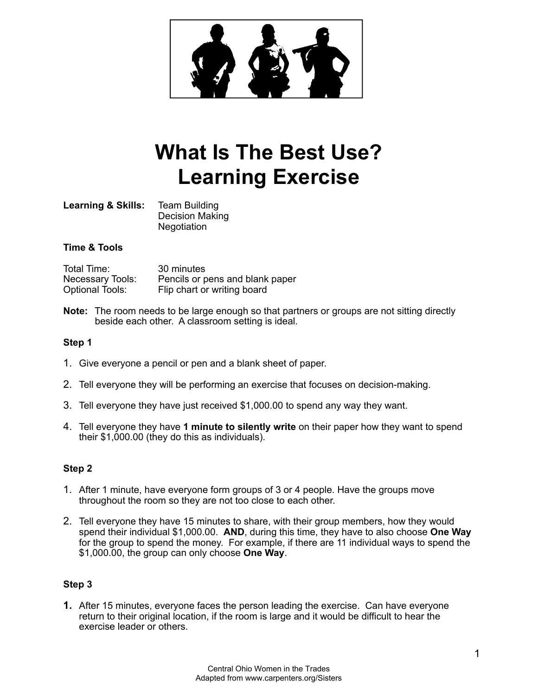

# **What Is The Best Use? Learning Exercise**

**Learning & Skills:** Team Building Decision Making **Negotiation** 

# **Time & Tools**

Total Time: 30 minutes<br>Necessary Tools: Pencils or p Necessary Tools: Pencils or pens and blank paper<br>Optional Tools: Flip chart or writing board Flip chart or writing board

**Note:** The room needs to be large enough so that partners or groups are not sitting directly beside each other. A classroom setting is ideal.

## **Step 1**

- 1. Give everyone a pencil or pen and a blank sheet of paper.
- 2. Tell everyone they will be performing an exercise that focuses on decision-making.
- 3. Tell everyone they have just received \$1,000.00 to spend any way they want.
- 4. Tell everyone they have **1 minute to silently write** on their paper how they want to spend their \$1,000.00 (they do this as individuals).

# **Step 2**

- 1. After 1 minute, have everyone form groups of 3 or 4 people. Have the groups move throughout the room so they are not too close to each other.
- 2. Tell everyone they have 15 minutes to share, with their group members, how they would spend their individual \$1,000.00. **AND**, during this time, they have to also choose **One Way** for the group to spend the money. For example, if there are 11 individual ways to spend the \$1,000.00, the group can only choose **One Way**.

# **Step 3**

**1.** After 15 minutes, everyone faces the person leading the exercise. Can have everyone return to their original location, if the room is large and it would be difficult to hear the exercise leader or others.